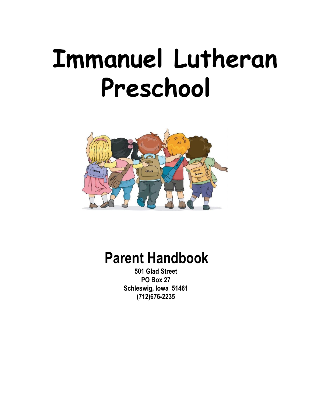# **Immanuel Lutheran Preschool**



# **Parent Handbook**

**501 Glad Street PO Box 27 Schleswig, Iowa 51461 (712)676-2235**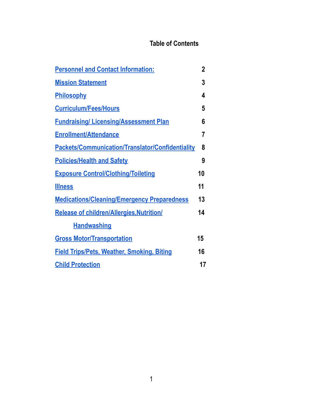# **Table of Contents**

| <b>Personnel and Contact Information:</b>               | $\mathbf 2$ |
|---------------------------------------------------------|-------------|
| <b>Mission Statement</b>                                | 3           |
| <b>Philosophy</b>                                       | 4           |
| <b>Curriculum/Fees/Hours</b>                            | 5           |
| <b>Fundraising/Licensing/Assessment Plan</b>            | 6           |
| <b>Enrollment/Attendance</b>                            | 7           |
| <b>Packets/Communication/Translator/Confidentiality</b> | 8           |
| <b>Policies/Health and Safety</b>                       | 9           |
| <b>Exposure Control/Clothing/Toileting</b>              | 10          |
| <b>Illness</b>                                          | 11          |
| <b>Medications/Cleaning/Emergency Preparedness</b>      | 13          |
| <b>Release of children/Allergies, Nutrition/</b>        | 14          |
| <b>Handwashing</b>                                      |             |
| <b>Gross Motor/Transportation</b>                       | 15          |
| <b>Field Trips/Pets, Weather, Smoking, Biting</b>       | 16          |
| <b>Child Protection</b>                                 | 17          |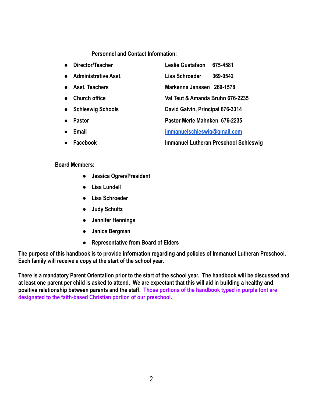#### **Personnel and Contact Information:**

<span id="page-2-0"></span>

| $\bullet$ | Director/Teacher            | <b>Leslie Gustafson</b>          | 675-4581                                     |
|-----------|-----------------------------|----------------------------------|----------------------------------------------|
| $\bullet$ | <b>Administrative Asst.</b> | Lisa Schroeder                   | 369-0542                                     |
| $\bullet$ | <b>Asst. Teachers</b>       | Markenna Janssen 269-1578        |                                              |
|           | <b>Church office</b>        | Val Teut & Amanda Bruhn 676-2235 |                                              |
| $\bullet$ | <b>Schleswig Schools</b>    | David Galvin, Principal 676-3314 |                                              |
| $\bullet$ | <b>Pastor</b>               | Pastor Merle Mahnken 676-2235    |                                              |
| $\bullet$ | Email                       | immanuelschleswig@gmail.com      |                                              |
| $\bullet$ | Facebook                    |                                  | <b>Immanuel Lutheran Preschool Schleswig</b> |

#### **Board Members:**

- **● Jessica Ogren/President**
- **● Lisa Lundell**
- **● Lisa Schroeder**
- **● Judy Schultz**
- **● Jennifer Hennings**
- **● Janice Bergman**
- **● Representative from Board of Elders**

**The purpose of this handbook is to provide information regarding and policies of Immanuel Lutheran Preschool. Each family will receive a copy at the start of the school year.**

**There is a mandatory Parent Orientation prior to the start of the school year. The handbook will be discussed and at least one parent per child is asked to attend. We are expectant that this will aid in building a healthy and positive relationship between parents and the staff. Those portions of the handbook typed in purple font are designated to the faith-based Christian portion of our preschool.**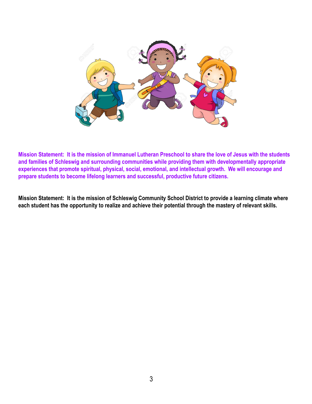

<span id="page-3-0"></span>**Mission Statement: It is the mission of Immanuel Lutheran Preschool to share the love of Jesus with the students and families of Schleswig and surrounding communities while providing them with developmentally appropriate experiences that promote spiritual, physical, social, emotional, and intellectual growth. We will encourage and prepare students to become lifelong learners and successful, productive future citizens.**

**Mission Statement: It is the mission of Schleswig Community School District to provide a learning climate where each student has the opportunity to realize and achieve their potential through the mastery of relevant skills.**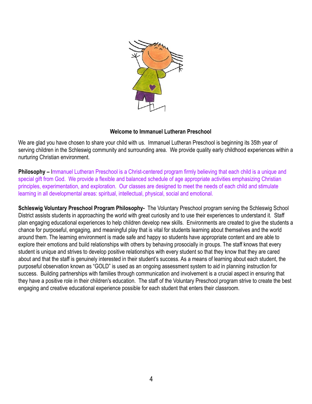

# **Welcome to Immanuel Lutheran Preschool**

<span id="page-4-0"></span>We are glad you have chosen to share your child with us. Immanuel Lutheran Preschool is beginning its 35th year of serving children in the Schleswig community and surrounding area. We provide quality early childhood experiences within a nurturing Christian environment.

**Philosophy –** Immanuel Lutheran Preschool is a Christ-centered program firmly believing that each child is a unique and special gift from God. We provide a flexible and balanced schedule of age appropriate activities emphasizing Christian principles, experimentation, and exploration. Our classes are designed to meet the needs of each child and stimulate learning in all developmental areas: spiritual, intellectual, physical, social and emotional.

**Schleswig Voluntary Preschool Program Philosophy-** The Voluntary Preschool program serving the Schleswig School District assists students in approaching the world with great curiosity and to use their experiences to understand it. Staff plan engaging educational experiences to help children develop new skills. Environments are created to give the students a chance for purposeful, engaging, and meaningful play that is vital for students learning about themselves and the world around them. The learning environment is made safe and happy so students have appropriate content and are able to explore their emotions and build relationships with others by behaving prosocially in groups. The staff knows that every student is unique and strives to develop positive relationships with every student so that they know that they are cared about and that the staff is genuinely interested in their student's success. As a means of learning about each student, the purposeful observation known as "GOLD" is used as an ongoing assessment system to aid in planning instruction for success. Building partnerships with families through communication and involvement is a crucial aspect in ensuring that they have a positive role in their children's education. The staff of the Voluntary Preschool program strive to create the best engaging and creative educational experience possible for each student that enters their classroom.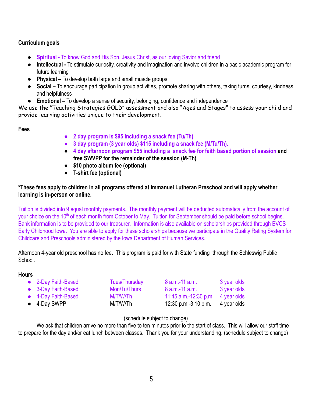# <span id="page-5-0"></span>**Curriculum goals**

- **Spiritual -** To know God and His Son, Jesus Christ, as our loving Savior and friend
- **Intellectual -** To stimulate curiosity, creativity and imagination and involve children in a basic academic program for future learning
- **Physical –** To develop both large and small muscle groups
- **Social –** To encourage participation in group activities, promote sharing with others, taking turns, courtesy, kindness and helpfulness
- **Emotional –** To develop a sense of security, belonging, confidence and independence

We use the "Teaching Strategies GOLD" assessment and also "Ages and Stages" to assess your child and provide learning activities unique to their development.

**Fees**

- **● 2 day program is \$95 including a snack fee (Tu/Th)**
- **● 3 day program (3 year olds) \$115 including a snack fee (M/Tu/Th).**
- **● 4 day afternoon program \$55 including a snack fee for faith based portion of session and free SWVPP for the remainder of the session (M-Th)**
- **● \$10 photo album fee (optional)**
- **● T-shirt fee (optional)**

# **\*These fees apply to children in all programs offered at Immanuel Lutheran Preschool and will apply whether learning is in-person or online.**

Tuition is divided into 9 equal monthly payments. The monthly payment will be deducted automatically from the account of your choice on the 10<sup>th</sup> of each month from October to May. Tuition for September should be paid before school begins. Bank information is to be provided to our treasurer. Information is also available on scholarships provided through BVCS Early Childhood Iowa. You are able to apply for these scholarships because we participate in the Quality Rating System for Childcare and Preschools administered by the Iowa Department of Human Services.

Afternoon 4-year old preschool has no fee. This program is paid for with State funding through the Schleswig Public **School** 

# **Hours**

| • 2-Day Faith-Based  | Tues/Thursday | 8 a.m.-11 a.m.         | 3 year olds |
|----------------------|---------------|------------------------|-------------|
| • 3-Day Faith-Based  | Mon/Tu/Thurs  | $8$ a.m.-11 a.m.       | 3 year olds |
| • 4-Day Faith-Based  | M/T/W/Th      | 11:45 a.m.-12:30 p.m.  | 4 year olds |
| $\bullet$ 4-Day SWPP | M/T/W/Th      | $12:30$ p.m.-3:10 p.m. | 4 year olds |

# (schedule subject to change)

We ask that children arrive no more than five to ten minutes prior to the start of class. This will allow our staff time to prepare for the day and/or eat lunch between classes. Thank you for your understanding. (schedule subject to change)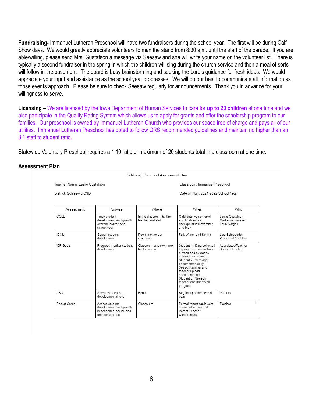<span id="page-6-0"></span>**Fundraising-** Immanuel Lutheran Preschool will have two fundraisers during the school year. The first will be during Calf Show days. We would greatly appreciate volunteers to man the stand from 8:30 a.m. until the start of the parade. If you are able/willing, please send Mrs. Gustafson a message via Seesaw and she will write your name on the volunteer list. There is typically a second fundraiser in the spring in which the children will sing during the church service and then a meal of sorts will follow in the basement. The board is busy brainstorming and seeking the Lord's guidance for fresh ideas. We would appreciate your input and assistance as the school year progresses. We will do our best to communicate all information as those events approach. Please be sure to check Seesaw regularly for announcements. Thank you in advance for your willingness to serve.

**Licensing –** We are licensed by the Iowa Department of Human Services to care for **up to 20 children** at one time and we also participate in the Quality Rating System which allows us to apply for grants and offer the scholarship program to our families. Our preschool is owned by Immanuel Lutheran Church who provides our space free of charge and pays all of our utilities. Immanuel Lutheran Preschool has opted to follow QRS recommended guidelines and maintain no higher than an 8:1 staff to student ratio.

Statewide Voluntary Preschool requires a 1:10 ratio or maximum of 20 students total in a classroom at one time.

#### **Assessment Plan**

Schleswig Preschool Assessment Plan

Teacher Name: Leslie Gustafson

Classroom: Immanuel Preschool Date of Plan: 2021-2022 School Year

District: Schleswig CSD

| Assessment       | Purpose                                                                                 | Where                                        | When                                                                                                                                                                                                                                                                  | Who                                                         |
|------------------|-----------------------------------------------------------------------------------------|----------------------------------------------|-----------------------------------------------------------------------------------------------------------------------------------------------------------------------------------------------------------------------------------------------------------------------|-------------------------------------------------------------|
| GOLD             | Track student<br>development and growth<br>over the course of a<br>school year.         | In the classroom by the<br>teacher and staff | Gold data was entered<br>and finalized for<br>checkpoint in November<br>and May                                                                                                                                                                                       | Leslie Gustafson<br>Markenna Janssen<br><b>Emily Vargas</b> |
| <b>IDGIs</b>     | Screen student<br>development                                                           | Room next to our<br>classroom                | Fall, Winter and Spring                                                                                                                                                                                                                                               | Lisa Schrodeder.<br>Preschool Assistant                     |
| <b>IFP Goals</b> | Progress monitor student<br>development                                                 | Classroom and room next<br>to classroom      | Student 1: Data collected<br>to progress monitor twice<br>a week and averages<br>entered twice/month<br>Student 2: Verbiage<br>documented daily.<br>Speech teacher and<br>teacher upload<br>documentation.<br>Student 3: Speech<br>teacher documents all<br>progress. | Associates/Teacher<br>Speech Teacher                        |
| ASO.             | Screen student's<br>developmental level                                                 | Home                                         | Beginning of the school<br>vear                                                                                                                                                                                                                                       | Parents                                                     |
| Report Cards     | Assess student<br>development and growth<br>in academic, social, and<br>emotional areas | Classroom                                    | Formal report cards sent<br>home twice a year at<br>Parent-Teacher<br>Conferences.                                                                                                                                                                                    | $\mathcal{P}$<br>Teacher                                    |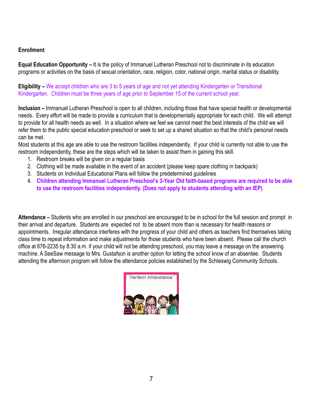# <span id="page-7-0"></span>**Enrollment**

**Equal Education Opportunity –** It is the policy of Immanuel Lutheran Preschool not to discriminate in its education programs or activities on the basis of sexual orientation, race, religion, color, national origin, marital status or disability.

**Eligibility –** We accept children who are 3 to 5 years of age and not yet attending Kindergarten or Transitional Kindergarten. Children must be three years of age prior to September 15 of the current school year.

**Inclusion –** Immanuel Lutheran Preschool is open to all children, including those that have special health or developmental needs. Every effort will be made to provide a curriculum that is developmentally appropriate for each child. We will attempt to provide for all health needs as well. In a situation where we feel we cannot meet the best interests of the child we will refer them to the public special education preschool or seek to set up a shared situation so that the child's personal needs can be met.

Most students at this age are able to use the restroom facilities independently. If your child is currently not able to use the restroom independently, these are the steps which will be taken to assist them in gaining this skill.

- 1. Restroom breaks will be given on a regular basis
- 2. Clothing will be made available in the event of an accident (please keep spare clothing in backpack)
- 3. Students on Individual Educational Plans will follow the predetermined guidelines
- 4. **Children attending Immanuel Lutheran Preschool's 3-Year Old faith-based programs are required to be able to use the restroom facilities independently. (Does not apply to students attending with an IEP)**

**Attendance –** Students who are enrolled in our preschool are encouraged to be in school for the full session and prompt in their arrival and departure. Students are expected not to be absent more than is necessary for health reasons or appointments. Irregular attendance interferes with the progress of your child and others as teachers find themselves taking class time to repeat information and make adjustments for those students who have been absent. Please call the church office at 676-2235 by 8:30 a.m. if your child will not be attending preschool, you may leave a message on the answering machine. A SeeSaw message to Mrs. Gustafson is another option for letting the school know of an absentee. Students attending the afternoon program will follow the attendance policies established by the Schleswig Community Schools.

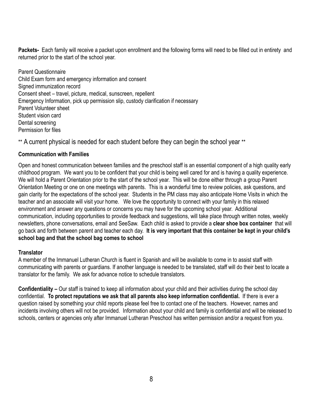<span id="page-8-0"></span>**Packets-** Each family will receive a packet upon enrollment and the following forms will need to be filled out in entirety and returned prior to the start of the school year.

Parent Questionnaire Child Exam form and emergency information and consent Signed immunization record Consent sheet – travel, picture, medical, sunscreen, repellent Emergency Information, pick up permission slip, custody clarification if necessary Parent Volunteer sheet Student vision card Dental screening Permission for files

\*\* A current physical is needed for each student before they can begin the school year \*\*

# **Communication with Families**

Open and honest communication between families and the preschool staff is an essential component of a high quality early childhood program. We want you to be confident that your child is being well cared for and is having a quality experience. We will hold a Parent Orientation prior to the start of the school year. This will be done either through a group Parent Orientation Meeting or one on one meetings with parents. This is a wonderful time to review policies, ask questions, and gain clarity for the expectations of the school year. Students in the PM class may also anticipate Home Visits in which the teacher and an associate will visit your home. We love the opportunity to connect with your family in this relaxed environment and answer any questions or concerns you may have for the upcoming school year. Additional communication, including opportunities to provide feedback and suggestions, will take place through written notes, weekly newsletters, phone conversations, email and SeeSaw. Each child is asked to provide a **clear shoe box container** that will go back and forth between parent and teacher each day. **It is very important that this container be kept in your child's school bag and that the school bag comes to school**

# **Translator**

A member of the Immanuel Lutheran Church is fluent in Spanish and will be available to come in to assist staff with communicating with parents or guardians. If another language is needed to be translated, staff will do their best to locate a translator for the family. We ask for advance notice to schedule translators.

**Confidentiality –** Our staff is trained to keep all information about your child and their activities during the school day confidential. **To protect reputations we ask that all parents also keep information confidential.** If there is ever a question raised by something your child reports please feel free to contact one of the teachers. However, names and incidents involving others will not be provided. Information about your child and family is confidential and will be released to schools, centers or agencies only after Immanuel Lutheran Preschool has written permission and/or a request from you.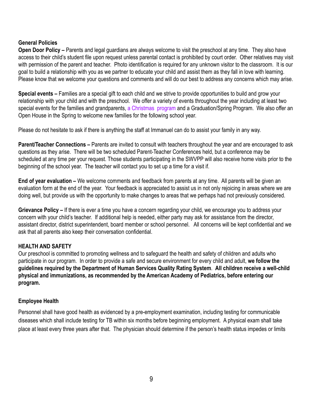# <span id="page-9-0"></span>**General Policies**

**Open Door Policy –** Parents and legal guardians are always welcome to visit the preschool at any time. They also have access to their child's student file upon request unless parental contact is prohibited by court order. Other relatives may visit with permission of the parent and teacher. Photo identification is required for any unknown visitor to the classroom. It is our goal to build a relationship with you as we partner to educate your child and assist them as they fall in love with learning. Please know that we welcome your questions and comments and will do our best to address any concerns which may arise.

**Special events –** Families are a special gift to each child and we strive to provide opportunities to build and grow your relationship with your child and with the preschool. We offer a variety of events throughout the year including at least two special events for the families and grandparents, a Christmas program and a Graduation/Spring Program. We also offer an Open House in the Spring to welcome new families for the following school year.

Please do not hesitate to ask if there is anything the staff at Immanuel can do to assist your family in any way.

**Parent/Teacher Connections –** Parents are invited to consult with teachers throughout the year and are encouraged to ask questions as they arise. There will be two scheduled Parent-Teacher Conferences held, but a conference may be scheduled at any time per your request. Those students participating in the SWVPP will also receive home visits prior to the beginning of the school year. The teacher will contact you to set up a time for a visit if.

**End of year evaluation –** We welcome comments and feedback from parents at any time. All parents will be given an evaluation form at the end of the year. Your feedback is appreciated to assist us in not only rejoicing in areas where we are doing well, but provide us with the opportunity to make changes to areas that we perhaps had not previously considered.

**Grievance Policy –** If there is ever a time you have a concern regarding your child, we encourage you to address your concern with your child's teacher. If additional help is needed, either party may ask for assistance from the director, assistant director, district superintendent, board member or school personnel. All concerns will be kept confidential and we ask that all parents also keep their conversation confidential.

# **HEALTH AND SAFETY**

Our preschool is committed to promoting wellness and to safeguard the health and safety of children and adults who participate in our program. In order to provide a safe and secure environment for every child and adult, **we follow the guidelines required by the Department of Human Services Quality Rating System**. **All children receive a well-child physical and immunizations, as recommended by the American Academy of Pediatrics, before entering our program.**

# **Employee Health**

Personnel shall have good health as evidenced by a pre-employment examination, including testing for communicable diseases which shall include testing for TB within six months before beginning employment. A physical exam shall take place at least every three years after that. The physician should determine if the person's health status impedes or limits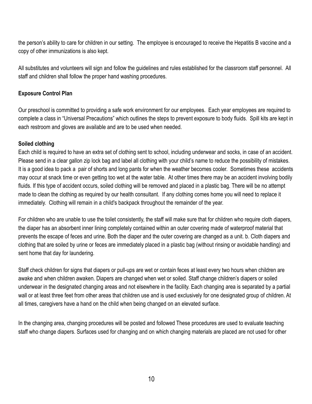the person's ability to care for children in our setting. The employee is encouraged to receive the Hepatitis B vaccine and a copy of other immunizations is also kept.

All substitutes and volunteers will sign and follow the guidelines and rules established for the classroom staff personnel. All staff and children shall follow the proper hand washing procedures.

# <span id="page-10-0"></span>**Exposure Control Plan**

Our preschool is committed to providing a safe work environment for our employees. Each year employees are required to complete a class in "Universal Precautions" which outlines the steps to prevent exposure to body fluids. Spill kits are kept in each restroom and gloves are available and are to be used when needed.

# **Soiled clothing**

Each child is required to have an extra set of clothing sent to school, including underwear and socks, in case of an accident. Please send in a clear gallon zip lock bag and label all clothing with your child's name to reduce the possibility of mistakes. It is a good idea to pack a pair of shorts and long pants for when the weather becomes cooler. Sometimes these accidents may occur at snack time or even getting too wet at the water table. At other times there may be an accident involving bodily fluids. If this type of accident occurs, soiled clothing will be removed and placed in a plastic bag. There will be no attempt made to clean the clothing as required by our health consultant. If any clothing comes home you will need to replace it immediately. Clothing will remain in a child's backpack throughout the remainder of the year.

For children who are unable to use the toilet consistently, the staff will make sure that for children who require cloth diapers, the diaper has an absorbent inner lining completely contained within an outer covering made of waterproof material that prevents the escape of feces and urine. Both the diaper and the outer covering are changed as a unit. b. Cloth diapers and clothing that are soiled by urine or feces are immediately placed in a plastic bag (without rinsing or avoidable handling) and sent home that day for laundering.

Staff check children for signs that diapers or pull-ups are wet or contain feces at least every two hours when children are awake and when children awaken. Diapers are changed when wet or soiled. Staff change children's diapers or soiled underwear in the designated changing areas and not elsewhere in the facility. Each changing area is separated by a partial wall or at least three feet from other areas that children use and is used exclusively for one designated group of children. At all times, caregivers have a hand on the child when being changed on an elevated surface.

In the changing area, changing procedures will be posted and followed These procedures are used to evaluate teaching staff who change diapers. Surfaces used for changing and on which changing materials are placed are not used for other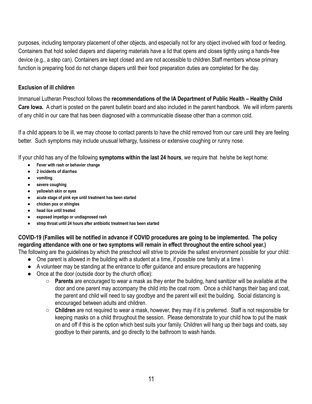purposes, including temporary placement of other objects, and especially not for any object involved with food or feeding. Containers that hold soiled diapers and diapering materials have a lid that opens and closes tightly using a hands-free device (e.g., a step can). Containers are kept closed and are not accessible to children.Staff members whose primary function is preparing food do not change diapers until their food preparation duties are completed for the day.

# <span id="page-11-0"></span>**Exclusion of ill children**

Immanuel Lutheran Preschool follows the **recommendations of the IA Department of Public Health – Healthy Child Care Iowa.** A chart is posted on the parent bulletin board and also included in the parent handbook. We will inform parents of any child in our care that has been diagnosed with a communicable disease other than a common cold.

If a child appears to be ill, we may choose to contact parents to have the child removed from our care until they are feeling better. Such symptoms may include unusual lethargy, fussiness or extensive coughing or runny nose.

If your child has any of the following **symptoms within the last 24 hours**, we require that he/she be kept home:

- **● Fever with rash or behavior change**
- **● 2 incidents of diarrhea**
- **● vomiting**
- **● severe coughing**
- **● yellowish skin or eyes**
- **● acute stage of pink eye until treatment has been started**
- **● chicken pox or shingles**
- **● head lice until treated**
- **● exposed impetigo or undiagnosed rash**
- **● strep throat until 24 hours after antibiotic treatment has been started**

**COVID-19 (Families will be notified in advance if COVID procedures are going to be implemented. The policy regarding attendance with one or two symptoms will remain in effect throughout the entire school year.)**

The following are the guidelines by which the preschool will strive to provide the safest environment possible for your child:

- $\bullet$  One parent is allowed in the building with a student at a time, if possible one family at a time \
- A volunteer may be standing at the entrance to offer guidance and ensure precautions are happening
- Once at the door (outside door by the church office):
	- **Parents** are encouraged to wear a mask as they enter the building, hand sanitizer will be available at the door and one parent may accompany the child into the coat room. Once a child hangs their bag and coat, the parent and child will need to say goodbye and the parent will exit the building. Social distancing is encouraged between adults and children.
	- **Children** are not required to wear a mask, however, they may if it is preferred. Staff is not responsible for keeping masks on a child throughout the session. Please demonstrate to your child how to put the mask on and off if this is the option which best suits your family. Children will hang up their bags and coats, say goodbye to their parents, and go directly to the bathroom to wash hands.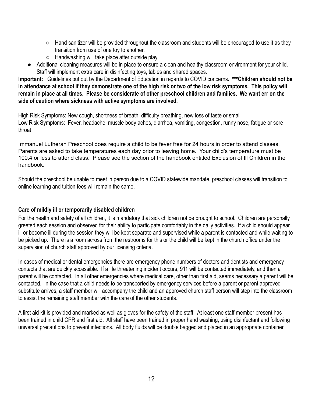- Hand sanitizer will be provided throughout the classroom and students will be encouraged to use it as they transition from use of one toy to another.
- Handwashing will take place after outside play.
- Additional cleaning measures will be in place to ensure a clean and healthy classroom environment for your child. Staff will implement extra care in disinfecting toys, tables and shared spaces.

**Important:** Guidelines put out by the Department of Education in regards to COVID concerns**. \*\*\*Children should not be in attendance at school if they demonstrate one of the high risk or two of the low risk symptoms. This policy will remain in place at all times. Please be considerate of other preschool children and families. We want err on the side of caution where sickness with active symptoms are involved.**

High Risk Symptoms: New cough, shortness of breath, difficulty breathing, new loss of taste or small Low Risk Symptoms: Fever, headache, muscle body aches, diarrhea, vomiting, congestion, runny nose, fatigue or sore throat

Immanuel Lutheran Preschool does require a child to be fever free for 24 hours in order to attend classes. Parents are asked to take temperatures each day prior to leaving home. Your child's temperature must be 100.4 or less to attend class. Please see the section of the handbook entitled Exclusion of Ill Children in the handbook.

Should the preschool be unable to meet in person due to a COVID statewide mandate, preschool classes will transition to online learning and tuition fees will remain the same.

# **Care of mildly ill or temporarily disabled children**

For the health and safety of all children, it is mandatory that sick children not be brought to school. Children are personally greeted each session and observed for their ability to participate comfortably in the daily activities. If a child should appear ill or become ill during the session they will be kept separate and supervised while a parent is contacted and while waiting to be picked up. There is a room across from the restrooms for this or the child will be kept in the church office under the supervision of church staff approved by our licensing criteria.

In cases of medical or dental emergencies there are emergency phone numbers of doctors and dentists and emergency contacts that are quickly accessible. If a life threatening incident occurs, 911 will be contacted immediately, and then a parent will be contacted. In all other emergencies where medical care, other than first aid, seems necessary a parent will be contacted. In the case that a child needs to be transported by emergency services before a parent or parent approved substitute arrives, a staff member will accompany the child and an approved church staff person will step into the classroom to assist the remaining staff member with the care of the other students.

A first aid kit is provided and marked as well as gloves for the safety of the staff. At least one staff member present has been trained in child CPR and first aid. All staff have been trained in proper hand washing, using disinfectant and following universal precautions to prevent infections. All body fluids will be double bagged and placed in an appropriate container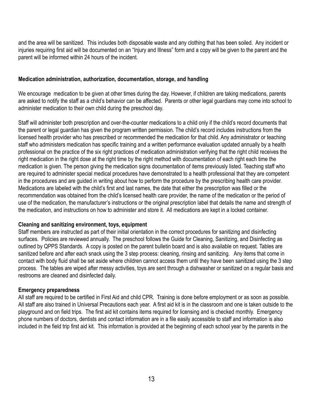and the area will be sanitized. This includes both disposable waste and any clothing that has been soiled. Any incident or injuries requiring first aid will be documented on an "Injury and Illness" form and a copy will be given to the parent and the parent will be informed within 24 hours of the incident.

# <span id="page-13-0"></span>**Medication administration, authorization, documentation, storage, and handling**

We encourage medication to be given at other times during the day. However, if children are taking medications, parents are asked to notify the staff as a child's behavior can be affected. Parents or other legal guardians may come into school to administer medication to their own child during the preschool day.

Staff will administer both prescription and over-the-counter medications to a child only if the child's record documents that the parent or legal guardian has given the program written permission. The child's record includes instructions from the licensed health provider who has prescribed or recommended the medication for that child. Any administrator or teaching staff who administers medication has specific training and a written performance evaluation updated annually by a health professional on the practice of the six right practices of medication administration verifying that the right child receives the right medication in the right dose at the right time by the right method with documentation of each right each time the medication is given. The person giving the medication signs documentation of items previously listed. Teaching staff who are required to administer special medical procedures have demonstrated to a health professional that they are competent in the procedures and are guided in writing about how to perform the procedure by the prescribing health care provider. Medications are labeled with the child's first and last names, the date that either the prescription was filled or the recommendation was obtained from the child's licensed health care provider, the name of the medication or the period of use of the medication, the manufacturer's instructions or the original prescription label that details the name and strength of the medication, and instructions on how to administer and store it. All medications are kept in a locked container.

# **Cleaning and sanitizing environment, toys, equipment**

Staff members are instructed as part of their initial orientation in the correct procedures for sanitizing and disinfecting surfaces. Policies are reviewed annually. The preschool follows the Guide for Cleaning, Sanitizing, and Disinfecting as outlined by QPPS Standards. A copy is posted on the parent bulletin board and is also available on request. Tables are sanitized before and after each snack using the 3 step process: cleaning, rinsing and sanitizing. Any items that come in contact with body fluid shall be set aside where children cannot access them until they have been sanitized using the 3 step process. The tables are wiped after messy activities, toys are sent through a dishwasher or sanitized on a regular basis and restrooms are cleaned and disinfected daily.

# **Emergency preparedness**

All staff are required to be certified in First Aid and child CPR. Training is done before employment or as soon as possible. All staff are also trained in Universal Precautions each year. A first aid kit is in the classroom and one is taken outside to the playground and on field trips. The first aid kit contains items required for licensing and is checked monthly. Emergency phone numbers of doctors, dentists and contact information are in a file easily accessible to staff and information is also included in the field trip first aid kit. This information is provided at the beginning of each school year by the parents in the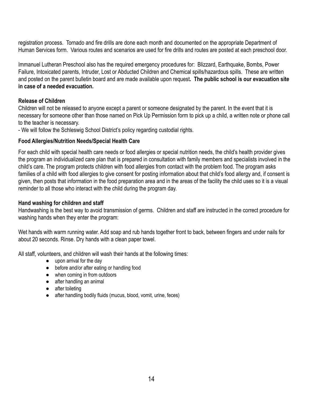registration process. Tornado and fire drills are done each month and documented on the appropriate Department of Human Services form. Various routes and scenarios are used for fire drills and routes are posted at each preschool door.

Immanuel Lutheran Preschool also has the required emergency procedures for: Blizzard, Earthquake, Bombs, Power Failure, Intoxicated parents, Intruder, Lost or Abducted Children and Chemical spills/hazardous spills. These are written and posted on the parent bulletin board and are made available upon request**. The public school is our evacuation site in case of a needed evacuation.**

# <span id="page-14-0"></span>**Release of Children**

Children will not be released to anyone except a parent or someone designated by the parent. In the event that it is necessary for someone other than those named on Pick Up Permission form to pick up a child, a written note or phone call to the teacher is necessary.

- We will follow the Schleswig School District's policy regarding custodial rights.

# **Food Allergies/Nutrition Needs/Special Health Care**

For each child with special health care needs or food allergies or special nutrition needs, the child's health provider gives the program an individualized care plan that is prepared in consultation with family members and specialists involved in the child's care. The program protects children with food allergies from contact with the problem food. The program asks families of a child with food allergies to give consent for posting information about that child's food allergy and, if consent is given, then posts that information in the food preparation area and in the areas of the facility the child uses so it is a visual reminder to all those who interact with the child during the program day.

# **Hand washing for children and staff**

Handwashing is the best way to avoid transmission of germs. Children and staff are instructed in the correct procedure for washing hands when they enter the program:

Wet hands with warm running water. Add soap and rub hands together front to back, between fingers and under nails for about 20 seconds. Rinse. Dry hands with a clean paper towel.

All staff, volunteers, and children will wash their hands at the following times:

- upon arrival for the day
- before and/or after eating or handling food
- when coming in from outdoors
- after handling an animal
- after toileting
- after handling bodily fluids (mucus, blood, vomit, urine, feces)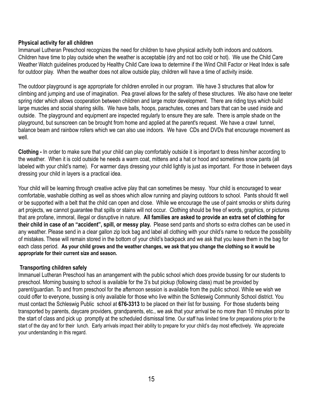# <span id="page-15-0"></span>**Physical activity for all children**

Immanuel Lutheran Preschool recognizes the need for children to have physical activity both indoors and outdoors. Children have time to play outside when the weather is acceptable (dry and not too cold or hot). We use the Child Care Weather Watch guidelines produced by Healthy Child Care Iowa to determine if the Wind Chill Factor or Heat Index is safe for outdoor play. When the weather does not allow outside play, children will have a time of activity inside.

The outdoor playground is age appropriate for children enrolled in our program. We have 3 structures that allow for climbing and jumping and use of imagination. Pea gravel allows for the safety of these structures. We also have one teeter spring rider which allows cooperation between children and large motor development. There are riding toys which build large muscles and social sharing skills. We have balls, hoops, parachutes, cones and bars that can be used inside and outside. The playground and equipment are inspected regularly to ensure they are safe. There is ample shade on the playground, but sunscreen can be brought from home and applied at the parent's request. We have a crawl tunnel, balance beam and rainbow rollers which we can also use indoors. We have CDs and DVDs that encourage movement as well

**Clothing -** In order to make sure that your child can play comfortably outside it is important to dress him/her according to the weather. When it is cold outside he needs a warm coat, mittens and a hat or hood and sometimes snow pants (all labeled with your child's name). For warmer days dressing your child lightly is just as important. For those in between days dressing your child in layers is a practical idea.

Your child will be learning through creative active play that can sometimes be messy. Your child is encouraged to wear comfortable, washable clothing as well as shoes which allow running and playing outdoors to school. Pants should fit well or be supported with a belt that the child can open and close. While we encourage the use of paint smocks or shirts during art projects, we cannot guarantee that spills or stains will not occur. Clothing should be free of words, graphics, or pictures that are profane, immoral, illegal or disruptive in nature. **All families are asked to provide an extra set of clothing for their child in case of an "accident", spill, or messy play.** Please send pants and shorts so extra clothes can be used in any weather. Please send in a clear gallon zip lock bag and label all clothing with your child's name to reduce the possibility of mistakes. These will remain stored in the bottom of your child's backpack and we ask that you leave them in the bag for each class period. As your child grows and the weather changes, we ask that you change the clothing so it would be **appropriate for their current size and season.**

# **Transporting children safely**

Immanuel Lutheran Preschool has an arrangement with the public school which does provide bussing for our students to preschool. Morning bussing to school is available for the 3's but pickup (following class) must be provided by parent/guardian. To and from preschool for the afternoon session is available from the public school. While we wish we could offer to everyone, bussing is only available for those who live within the Schleswig Community School district. You must contact the Schleswig Public school at **676-3313** to be placed on their list for bussing. For those students being transported by parents, daycare providers, grandparents, etc., we ask that your arrival be no more than 10 minutes prior to the start of class and pick up promptly at the scheduled dismissal time. Our staff has limited time for preparations prior to the start of the day and for their lunch. Early arrivals impact their ability to prepare for your child's day most effectively. We appreciate your understanding in this regard.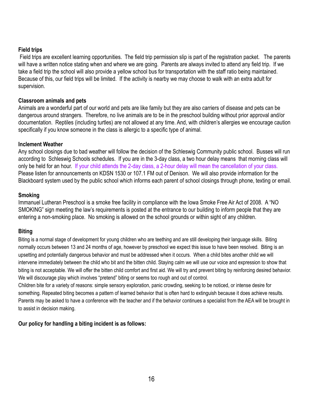# <span id="page-16-0"></span>**Field trips**

Field trips are excellent learning opportunities. The field trip permission slip is part of the registration packet. The parents will have a written notice stating when and where we are going. Parents are always invited to attend any field trip. If we take a field trip the school will also provide a yellow school bus for transportation with the staff ratio being maintained. Because of this, our field trips will be limited. If the activity is nearby we may choose to walk with an extra adult for supervision.

# **Classroom animals and pets**

Animals are a wonderful part of our world and pets are like family but they are also carriers of disease and pets can be dangerous around strangers. Therefore, no live animals are to be in the preschool building without prior approval and/or documentation. Reptiles (including turtles) are not allowed at any time. And, with children's allergies we encourage caution specifically if you know someone in the class is allergic to a specific type of animal.

# **Inclement Weather**

Any school closings due to bad weather will follow the decision of the Schleswig Community public school. Busses will run according to Schleswig Schools schedules. If you are in the 3-day class, a two hour delay means that morning class will only be held for an hour. If your child attends the 2-day class, a 2-hour delay will mean the cancellation of your class. Please listen for announcements on KDSN 1530 or 107.1 FM out of Denison. We will also provide information for the Blackboard system used by the public school which informs each parent of school closings through phone, texting or email.

# **Smoking**

Immanuel Lutheran Preschool is a smoke free facility in compliance with the Iowa Smoke Free Air Act of 2008. A "NO SMOKING" sign meeting the law's requirements is posted at the entrance to our building to inform people that they are entering a non-smoking place. No smoking is allowed on the school grounds or within sight of any children.

# **Biting**

Biting is a normal stage of development for young children who are teething and are still developing their language skills. Biting normally occurs between 13 and 24 months of age, however by preschool we expect this issue to have been resolved. Biting is an upsetting and potentially dangerous behavior and must be addressed when it occurs. When a child bites another child we will intervene immediately between the child who bit and the bitten child. Staying calm we will use our voice and expression to show that biting is not acceptable. We will offer the bitten child comfort and first aid. We will try and prevent biting by reinforcing desired behavior. We will discourage play which involves "pretend" biting or seems too rough and out of control.

Children bite for a variety of reasons: simple sensory exploration, panic crowding, seeking to be noticed, or intense desire for something. Repeated biting becomes a pattern of learned behavior that is often hard to extinguish because it does achieve results. Parents may be asked to have a conference with the teacher and if the behavior continues a specialist from the AEA will be brought in to assist in decision making.

# **Our policy for handling a biting incident is as follows:**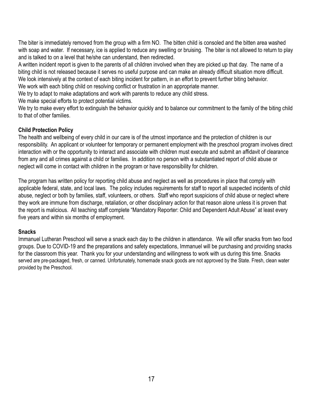The biter is immediately removed from the group with a firm NO. The bitten child is consoled and the bitten area washed with soap and water. If necessary, ice is applied to reduce any swelling or bruising. The biter is not allowed to return to play and is talked to on a level that he/she can understand, then redirected.

A written incident report is given to the parents of all children involved when they are picked up that day. The name of a biting child is not released because it serves no useful purpose and can make an already difficult situation more difficult. We look intensively at the context of each biting incident for pattern, in an effort to prevent further biting behavior.

We work with each biting child on resolving conflict or frustration in an appropriate manner.

We try to adapt to make adaptations and work with parents to reduce any child stress.

We make special efforts to protect potential victims.

We try to make every effort to extinguish the behavior quickly and to balance our commitment to the family of the biting child to that of other families.

# <span id="page-17-0"></span>**Child Protection Policy**

The health and wellbeing of every child in our care is of the utmost importance and the protection of children is our responsibility. An applicant or volunteer for temporary or permanent employment with the preschool program involves direct interaction with or the opportunity to interact and associate with children must execute and submit an affidavit of clearance from any and all crimes against a child or families. In addition no person with a substantiated report of child abuse or neglect will come in contact with children in the program or have responsibility for children.

The program has written policy for reporting child abuse and neglect as well as procedures in place that comply with applicable federal, state, and local laws. The policy includes requirements for staff to report all suspected incidents of child abuse, neglect or both by families, staff, volunteers, or others. Staff who report suspicions of child abuse or neglect where they work are immune from discharge, retaliation, or other disciplinary action for that reason alone unless it is proven that the report is malicious. All teaching staff complete "Mandatory Reporter: Child and Dependent Adult Abuse" at least every five years and within six months of employment.

# **Snacks**

Immanuel Lutheran Preschool will serve a snack each day to the children in attendance. We will offer snacks from two food groups. Due to COVID-19 and the preparations and safety expectations, Immanuel will be purchasing and providing snacks for the classroom this year. Thank you for your understanding and willingness to work with us during this time. Snacks served are pre-packaged, fresh, or canned. Unfortunately, homemade snack goods are not approved by the State. Fresh, clean water provided by the Preschool.